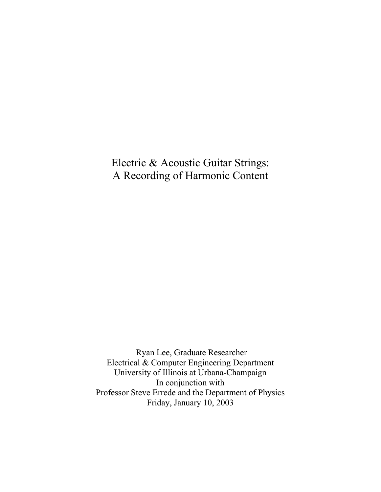Electric & Acoustic Guitar Strings: A Recording of Harmonic Content

 Ryan Lee, Graduate Researcher Electrical & Computer Engineering Department University of Illinois at Urbana-Champaign In conjunction with Professor Steve Errede and the Department of Physics Friday, January 10, 2003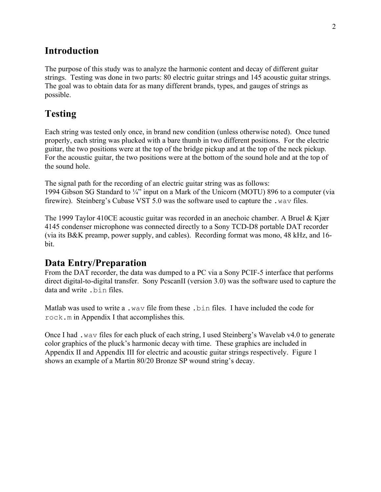### **Introduction**

The purpose of this study was to analyze the harmonic content and decay of different guitar strings. Testing was done in two parts: 80 electric guitar strings and 145 acoustic guitar strings. The goal was to obtain data for as many different brands, types, and gauges of strings as possible.

# **Testing**

Each string was tested only once, in brand new condition (unless otherwise noted). Once tuned properly, each string was plucked with a bare thumb in two different positions. For the electric guitar, the two positions were at the top of the bridge pickup and at the top of the neck pickup. For the acoustic guitar, the two positions were at the bottom of the sound hole and at the top of the sound hole.

The signal path for the recording of an electric guitar string was as follows: 1994 Gibson SG Standard to ¼" input on a Mark of the Unicorn (MOTU) 896 to a computer (via firewire). Steinberg's Cubase VST 5.0 was the software used to capture the .wav files.

The 1999 Taylor 410CE acoustic guitar was recorded in an anechoic chamber. A Bruel & Kjær 4145 condenser microphone was connected directly to a Sony TCD-D8 portable DAT recorder (via its B&K preamp, power supply, and cables). Recording format was mono, 48 kHz, and 16 bit.

#### **Data Entry/Preparation**

From the DAT recorder, the data was dumped to a PC via a Sony PCIF-5 interface that performs direct digital-to-digital transfer. Sony PcscanII (version 3.0) was the software used to capture the data and write .bin files.

Matlab was used to write a .wav file from these .bin files. I have included the code for rock.m in Appendix I that accomplishes this.

Once I had .wav files for each pluck of each string, I used Steinberg's Wavelab v4.0 to generate color graphics of the pluck's harmonic decay with time. These graphics are included in Appendix II and Appendix III for electric and acoustic guitar strings respectively. Figure 1 shows an example of a Martin 80/20 Bronze SP wound string's decay.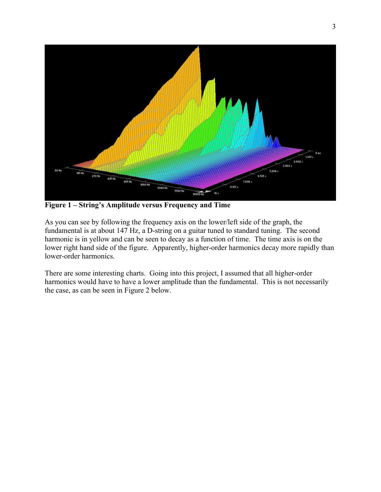

**Figure 1 – String's Amplitude versus Frequency and Time**

As you can see by following the frequency axis on the lower/left side of the graph, the fundamental is at about 147 Hz, a D-string on a guitar tuned to standard tuning. The second harmonic is in yellow and can be seen to decay as a function of time. The time axis is on the lower right hand side of the figure. Apparently, higher-order harmonics decay more rapidly than lower-order harmonics.

There are some interesting charts. Going into this project, I assumed that all higher-order harmonics would have to have a lower amplitude than the fundamental. This is not necessarily the case, as can be seen in Figure 2 below.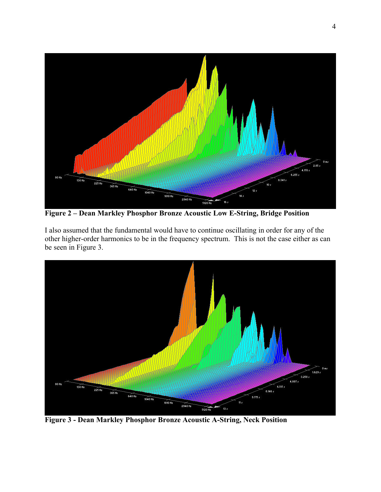

**Figure 2 – Dean Markley Phosphor Bronze Acoustic Low E-String, Bridge Position**

I also assumed that the fundamental would have to continue oscillating in order for any of the other higher-order harmonics to be in the frequency spectrum. This is not the case either as can be seen in Figure 3.



**Figure 3 - Dean Markley Phosphor Bronze Acoustic A-String, Neck Position**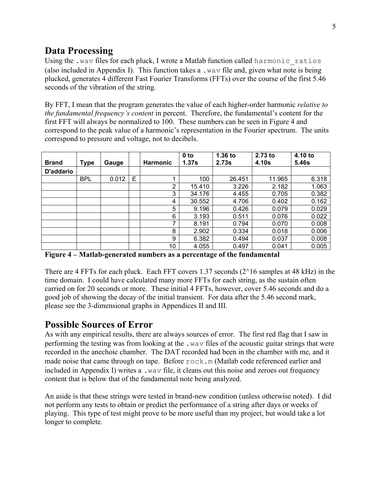# **Data Processing**

Using the .wav files for each pluck, I wrote a Matlab function called harmonic ratios (also included in Appendix I). This function takes a .wav file and, given what note is being plucked, generates 4 different Fast Fourier Transforms (FFTs) over the course of the first 5.46 seconds of the vibration of the string.

By FFT, I mean that the program generates the value of each higher-order harmonic *relative to the fundamental frequency's content* in percent. Therefore, the fundamental's content for the first FFT will always be normalized to 100. These numbers can be seen in Figure 4 and correspond to the peak value of a harmonic's representation in the Fourier spectrum. The units correspond to pressure and voltage, not to decibels.

| <b>Brand</b> | <b>Type</b> | Gauge |   | <b>Harmonic</b> | 0 <sub>to</sub><br>1.37 <sub>S</sub> | $1.36$ to<br>2.73s | $2.73$ to<br>4.10s | 4.10 to<br>5.46s |
|--------------|-------------|-------|---|-----------------|--------------------------------------|--------------------|--------------------|------------------|
| D'addario    |             |       |   |                 |                                      |                    |                    |                  |
|              | <b>BPL</b>  | 0.012 | E | ٠               | 100                                  | 26.451             | 11.965             | 6.318            |
|              |             |       |   | 2               | 15.410                               | 3.226              | 2.182              | 1.063            |
|              |             |       |   | 3               | 34.176                               | 4.455              | 0.705              | 0.382            |
|              |             |       |   | 4               | 30.552                               | 4.706              | 0.402              | 0.162            |
|              |             |       |   | 5               | 9.196                                | 0.426              | 0.079              | 0.029            |
|              |             |       |   | 6               | 3.193                                | 0.511              | 0.076              | 0.022            |
|              |             |       |   | 7               | 8.191                                | 0.794              | 0.070              | 0.008            |
|              |             |       |   | 8               | 2.902                                | 0.334              | 0.018              | 0.006            |
|              |             |       |   | 9               | 6.382                                | 0.494              | 0.037              | 0.008            |
|              |             |       |   | 10              | 4.055                                | 0.497              | 0.041              | 0.005            |

**Figure 4 – Matlab-generated numbers as a percentage of the fundamental**

There are 4 FFTs for each pluck. Each FFT covers 1.37 seconds  $(2^{\wedge}16$  samples at 48 kHz) in the time domain. I could have calculated many more FFTs for each string, as the sustain often carried on for 20 seconds or more. These initial 4 FFTs, however, cover 5.46 seconds and do a good job of showing the decay of the initial transient. For data after the 5.46 second mark, please see the 3-dimensional graphs in Appendices II and III.

## **Possible Sources of Error**

As with any empirical results, there are always sources of error. The first red flag that I saw in performing the testing was from looking at the .wav files of the acoustic guitar strings that were recorded in the anechoic chamber. The DAT recorded had been in the chamber with me, and it made noise that came through on tape. Before  $\text{rock}$ , m (Matlab code referenced earlier and included in Appendix I) writes a .wav file, it cleans out this noise and zeroes out frequency content that is below that of the fundamental note being analyzed.

An aside is that these strings were tested in brand-new condition (unless otherwise noted). I did not perform any tests to obtain or predict the performance of a string after days or weeks of playing. This type of test might prove to be more useful than my project, but would take a lot longer to complete.